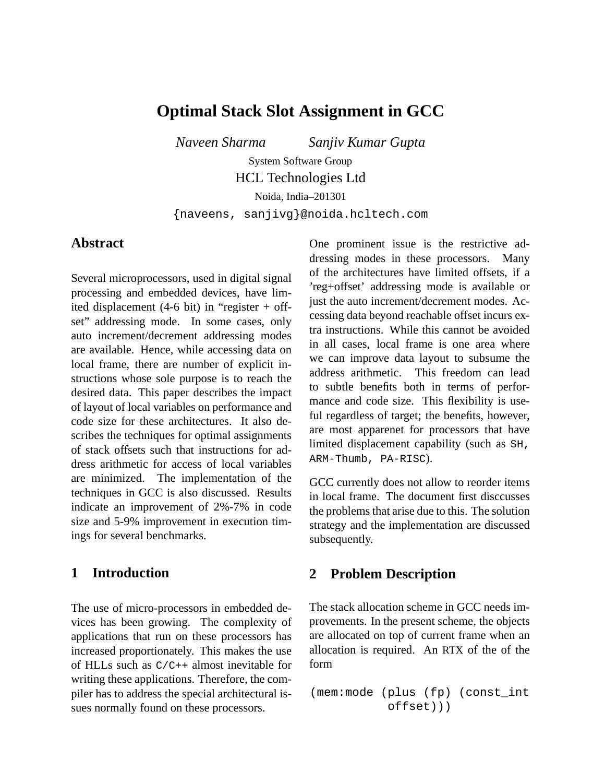# **Optimal Stack Slot Assignment in GCC**

*Naveen Sharma Sanjiv Kumar Gupta*

System Software Group HCL Technologies Ltd

Noida, India–201301

{naveens, sanjivg}@noida.hcltech.com

### **Abstract**

Several microprocessors, used in digital signal processing and embedded devices, have limited displacement  $(4-6 \text{ bit})$  in "register + offset" addressing mode. In some cases, only auto increment/decrement addressing modes are available. Hence, while accessing data on local frame, there are number of explicit instructions whose sole purpose is to reach the desired data. This paper describes the impact of layout of local variables on performance and code size for these architectures. It also describes the techniques for optimal assignments of stack offsets such that instructions for address arithmetic for access of local variables are minimized. The implementation of the techniques in GCC is also discussed. Results indicate an improvement of 2%-7% in code size and 5-9% improvement in execution timings for several benchmarks.

### **1 Introduction**

The use of micro-processors in embedded devices has been growing. The complexity of applications that run on these processors has increased proportionately. This makes the use of HLLs such as C/C++ almost inevitable for writing these applications. Therefore, the compiler has to address the special architectural issues normally found on these processors.

One prominent issue is the restrictive addressing modes in these processors. Many of the architectures have limited offsets, if a 'reg+offset' addressing mode is available or just the auto increment/decrement modes. Accessing data beyond reachable offset incurs extra instructions. While this cannot be avoided in all cases, local frame is one area where we can improve data layout to subsume the address arithmetic. This freedom can lead to subtle benefits both in terms of performance and code size. This flexibility is useful regardless of target; the benefits, however, are most apparenet for processors that have limited displacement capability (such as SH, ARM-Thumb, PA-RISC).

GCC currently does not allow to reorder items in local frame. The document first disccusses the problems that arise due to this. The solution strategy and the implementation are discussed subsequently.

### **2 Problem Description**

The stack allocation scheme in GCC needs improvements. In the present scheme, the objects are allocated on top of current frame when an allocation is required. An RTX of the of the form

```
(mem:mode (plus (fp) (const_int
          offset)))
```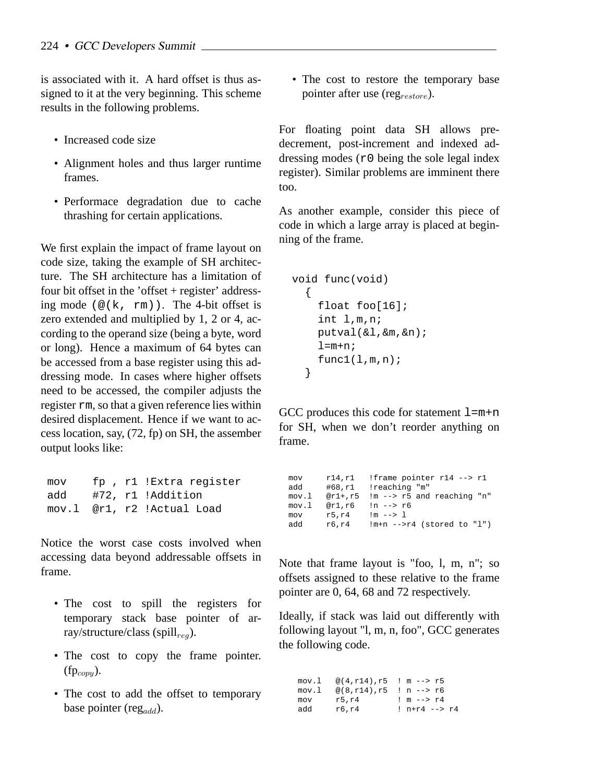is associated with it. A hard offset is thus assigned to it at the very beginning. This scheme results in the following problems.

- Increased code size
- Alignment holes and thus larger runtime frames.
- Performace degradation due to cache thrashing for certain applications.

We first explain the impact of frame layout on code size, taking the example of SH architecture. The SH architecture has a limitation of four bit offset in the 'offset + register' addressing mode ( $\mathcal{Q}(k, \text{rm})$ ). The 4-bit offset is zero extended and multiplied by 1, 2 or 4, according to the operand size (being a byte, word or long). Hence a maximum of 64 bytes can be accessed from a base register using this addressing mode. In cases where higher offsets need to be accessed, the compiler adjusts the register rm, so that a given reference lies within desired displacement. Hence if we want to access location, say, (72, fp) on SH, the assember output looks like:

mov fp , r1 !Extra register add #72, r1 !Addition mov.l @r1, r2 !Actual Load

Notice the worst case costs involved when accessing data beyond addressable offsets in frame.

- The cost to spill the registers for temporary stack base pointer of array/structure/class (spill<sub>reg</sub>).
- The cost to copy the frame pointer.  $(fp_{com}).$
- The cost to add the offset to temporary base pointer (reg $_{add}$ ).

• The cost to restore the temporary base pointer after use (reg $_{restore}$ ).

For floating point data SH allows predecrement, post-increment and indexed addressing modes  $(r_0)$  being the sole legal index register). Similar problems are imminent there too.

As another example, consider this piece of code in which a large array is placed at beginning of the frame.

```
void func(void)
  {
    float foo[16];
    int l,m,n;
    putval(&l,&m,&n);
    l=mm+n;func1(1,m,n);}
```
GCC produces this code for statement  $l = m+n$ for SH, when we don't reorder anything on frame.

| mov   | r14,r1 | !frame pointer r14 --> r1               |
|-------|--------|-----------------------------------------|
| add   | #68.rl | !reaching "m"                           |
| mov.l |        | $@r1+, r5$ !m --> $r5$ and reaching "n" |
| mov.l | @r1,r6 | $\ln$ --> $r6$                          |
| mov   | r5,r4  | $!m \rightarrow -2 \ 1$                 |
| add   | r6,r4  | $!m+n$ -->r4 (stored to "l")            |

Note that frame layout is "foo, l, m, n"; so offsets assigned to these relative to the frame pointer are 0, 64, 68 and 72 respectively.

Ideally, if stack was laid out differently with following layout "l, m, n, foo", GCC generates the following code.

mov.l @(4,r14),r5 ! m --> r5 mov.l  $@(8, r14), r5 : n -- > r6$ <br>mov  $r5, r4 : m -- > r4$  $: m \rightarrow r4$ add r6, r4 ! n+r4 --> r4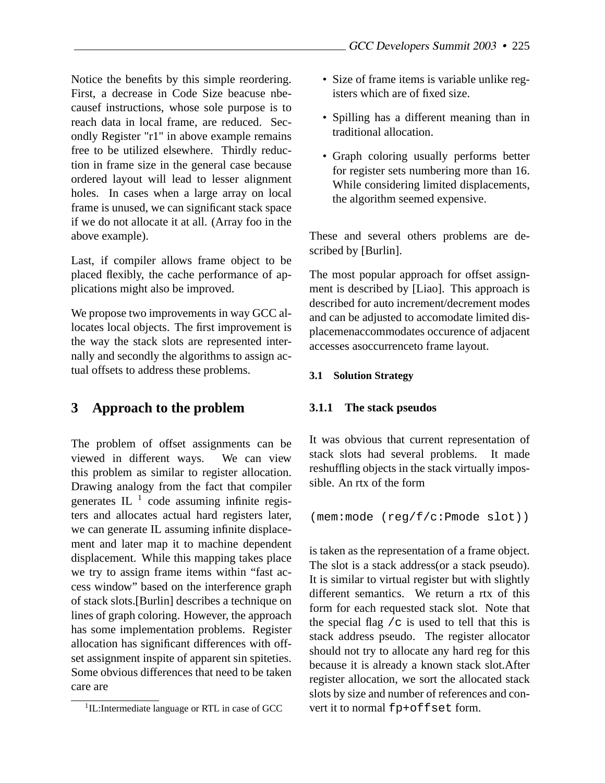Notice the benefits by this simple reordering. First, a decrease in Code Size beacuse nbecausef instructions, whose sole purpose is to reach data in local frame, are reduced. Secondly Register "r1" in above example remains free to be utilized elsewhere. Thirdly reduction in frame size in the general case because ordered layout will lead to lesser alignment holes. In cases when a large array on local frame is unused, we can significant stack space if we do not allocate it at all. (Array foo in the above example).

Last, if compiler allows frame object to be placed flexibly, the cache performance of applications might also be improved.

We propose two improvements in way GCC allocates local objects. The first improvement is the way the stack slots are represented internally and secondly the algorithms to assign actual offsets to address these problems.

## **3 Approach to the problem**

The problem of offset assignments can be viewed in different ways. We can view this problem as similar to register allocation. Drawing analogy from the fact that compiler generates IL $<sup>1</sup>$  code assuming infinite regis-</sup> ters and allocates actual hard registers later, we can generate IL assuming infinite displacement and later map it to machine dependent displacement. While this mapping takes place we try to assign frame items within "fast access window" based on the interference graph of stack slots.[Burlin] describes a technique on lines of graph coloring. However, the approach has some implementation problems. Register allocation has significant differences with offset assignment inspite of apparent sin spiteties. Some obvious differences that need to be taken care are

- Size of frame items is variable unlike registers which are of fixed size.
- Spilling has a different meaning than in traditional allocation.
- Graph coloring usually performs better for register sets numbering more than 16. While considering limited displacements, the algorithm seemed expensive.

These and several others problems are described by [Burlin].

The most popular approach for offset assignment is described by [Liao]. This approach is described for auto increment/decrement modes and can be adjusted to accomodate limited displacemenaccommodates occurence of adjacent accesses asoccurrenceto frame layout.

#### **3.1 Solution Strategy**

#### **3.1.1 The stack pseudos**

It was obvious that current representation of stack slots had several problems. It made reshuffling objects in the stack virtually impossible. An rtx of the form

(mem:mode (reg/f/c:Pmode slot))

is taken as the representation of a frame object. The slot is a stack address(or a stack pseudo). It is similar to virtual register but with slightly different semantics. We return a rtx of this form for each requested stack slot. Note that the special flag  $/c$  is used to tell that this is stack address pseudo. The register allocator should not try to allocate any hard reg for this because it is already a known stack slot.After register allocation, we sort the allocated stack slots by size and number of references and convert it to normal fp+offset form.

<sup>&</sup>lt;sup>1</sup>IL:Intermediate language or RTL in case of GCC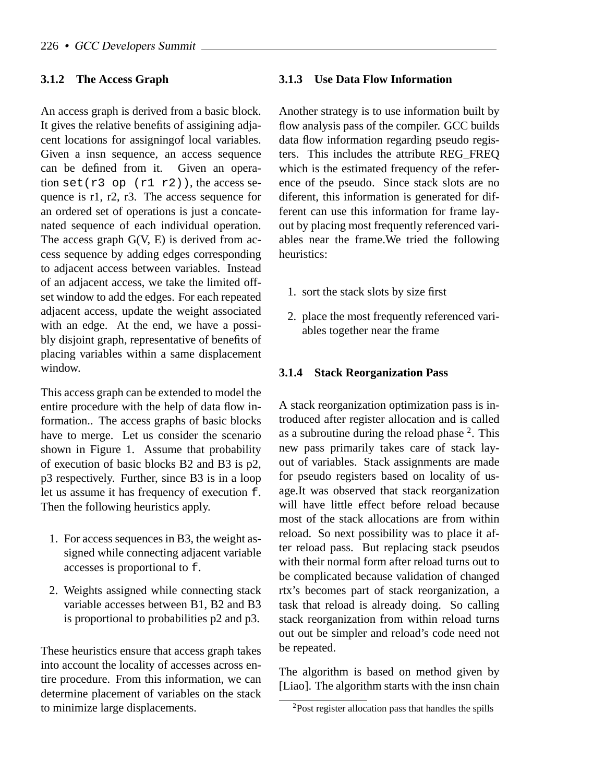#### **3.1.2 The Access Graph**

An access graph is derived from a basic block. It gives the relative benefits of assigining adjacent locations for assigningof local variables. Given a insn sequence, an access sequence can be defined from it. Given an operation  $set(r3$  op  $(r1 r2)$ ), the access sequence is r1, r2, r3. The access sequence for an ordered set of operations is just a concatenated sequence of each individual operation. The access graph  $G(V, E)$  is derived from access sequence by adding edges corresponding to adjacent access between variables. Instead of an adjacent access, we take the limited offset window to add the edges. For each repeated adjacent access, update the weight associated with an edge. At the end, we have a possibly disjoint graph, representative of benefits of placing variables within a same displacement window.

This access graph can be extended to model the entire procedure with the help of data flow information.. The access graphs of basic blocks have to merge. Let us consider the scenario shown in Figure 1. Assume that probability of execution of basic blocks B2 and B3 is p2, p3 respectively. Further, since B3 is in a loop let us assume it has frequency of execution f. Then the following heuristics apply.

- 1. For access sequences in B3, the weight assigned while connecting adjacent variable accesses is proportional to f.
- 2. Weights assigned while connecting stack variable accesses between B1, B2 and B3 is proportional to probabilities p2 and p3.

These heuristics ensure that access graph takes into account the locality of accesses across entire procedure. From this information, we can determine placement of variables on the stack to minimize large displacements.

#### **3.1.3 Use Data Flow Information**

Another strategy is to use information built by flow analysis pass of the compiler. GCC builds data flow information regarding pseudo registers. This includes the attribute REG\_FREQ which is the estimated frequency of the reference of the pseudo. Since stack slots are no diferent, this information is generated for different can use this information for frame layout by placing most frequently referenced variables near the frame.We tried the following heuristics:

- 1. sort the stack slots by size first
- 2. place the most frequently referenced variables together near the frame

#### **3.1.4 Stack Reorganization Pass**

A stack reorganization optimization pass is introduced after register allocation and is called as a subroutine during the reload phase  $2$ . This new pass primarily takes care of stack layout of variables. Stack assignments are made for pseudo registers based on locality of usage.It was observed that stack reorganization will have little effect before reload because most of the stack allocations are from within reload. So next possibility was to place it after reload pass. But replacing stack pseudos with their normal form after reload turns out to be complicated because validation of changed rtx's becomes part of stack reorganization, a task that reload is already doing. So calling stack reorganization from within reload turns out out be simpler and reload's code need not be repeated.

The algorithm is based on method given by [Liao]. The algorithm starts with the insn chain

<sup>2</sup>Post register allocation pass that handles the spills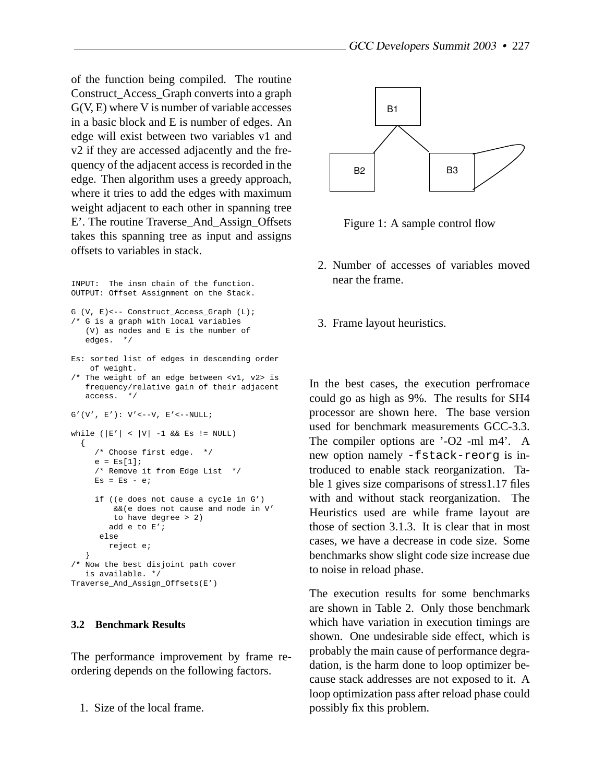of the function being compiled. The routine Construct\_Access\_Graph converts into a graph G(V, E) where V is number of variable accesses in a basic block and E is number of edges. An edge will exist between two variables v1 and v2 if they are accessed adjacently and the frequency of the adjacent access is recorded in the edge. Then algorithm uses a greedy approach, where it tries to add the edges with maximum weight adjacent to each other in spanning tree E'. The routine Traverse\_And\_Assign\_Offsets takes this spanning tree as input and assigns offsets to variables in stack.

```
INPUT: The insn chain of the function.
OUTPUT: Offset Assignment on the Stack.
G (V, E)<-- Construct_Access_Graph (L);
/* G is a graph with local variables
  (V) as nodes and E is the number of
  edges. */
Es: sorted list of edges in descending order
   of weight.
/* The weight of an edge between <v1, v2> is
  frequency/relative gain of their adjacent
   access. */
G'(V', E'): V' \leftarrow -V, E' \leftarrow -NULL;
while (|E'| < |V| -1 && Es != NULL)
  {
     /* Choose first edge. */
     e = ES[1];/* Remove it from Edge List */
    Es = Es - eiif ((e does not cause a cycle in G')
         &&(e does not cause and node in V'
        to have degree > 2)
       add e to E';
      else
       reject e;
   }
/* Now the best disjoint path cover
  is available. */
Traverse_And_Assign_Offsets(E')
```
#### **3.2 Benchmark Results**

The performance improvement by frame reordering depends on the following factors.

1. Size of the local frame.



Figure 1: A sample control flow

- 2. Number of accesses of variables moved near the frame.
- 3. Frame layout heuristics.

In the best cases, the execution perfromace could go as high as 9%. The results for SH4 processor are shown here. The base version used for benchmark measurements GCC-3.3. The compiler options are '-O2 -ml m4'. A new option namely -fstack-reorg is introduced to enable stack reorganization. Table 1 gives size comparisons of stress1.17 files with and without stack reorganization. The Heuristics used are while frame layout are those of section 3.1.3. It is clear that in most cases, we have a decrease in code size. Some benchmarks show slight code size increase due to noise in reload phase.

The execution results for some benchmarks are shown in Table 2. Only those benchmark which have variation in execution timings are shown. One undesirable side effect, which is probably the main cause of performance degradation, is the harm done to loop optimizer because stack addresses are not exposed to it. A loop optimization pass after reload phase could possibly fix this problem.